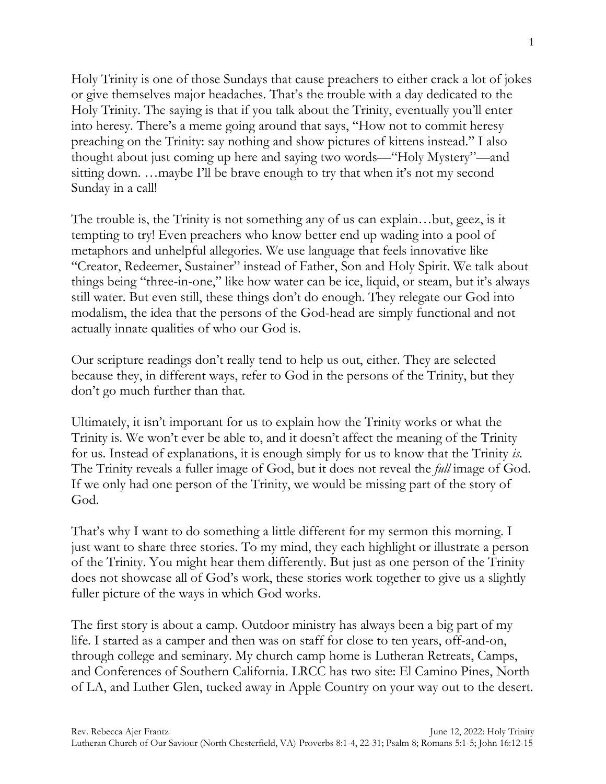Holy Trinity is one of those Sundays that cause preachers to either crack a lot of jokes or give themselves major headaches. That's the trouble with a day dedicated to the Holy Trinity. The saying is that if you talk about the Trinity, eventually you'll enter into heresy. There's a meme going around that says, "How not to commit heresy preaching on the Trinity: say nothing and show pictures of kittens instead." I also thought about just coming up here and saying two words—"Holy Mystery"—and sitting down. …maybe I'll be brave enough to try that when it's not my second Sunday in a call!

The trouble is, the Trinity is not something any of us can explain…but, geez, is it tempting to try! Even preachers who know better end up wading into a pool of metaphors and unhelpful allegories. We use language that feels innovative like "Creator, Redeemer, Sustainer" instead of Father, Son and Holy Spirit. We talk about things being "three-in-one," like how water can be ice, liquid, or steam, but it's always still water. But even still, these things don't do enough. They relegate our God into modalism, the idea that the persons of the God-head are simply functional and not actually innate qualities of who our God is.

Our scripture readings don't really tend to help us out, either. They are selected because they, in different ways, refer to God in the persons of the Trinity, but they don't go much further than that.

Ultimately, it isn't important for us to explain how the Trinity works or what the Trinity is. We won't ever be able to, and it doesn't affect the meaning of the Trinity for us. Instead of explanations, it is enough simply for us to know that the Trinity *is*. The Trinity reveals a fuller image of God, but it does not reveal the *full* image of God. If we only had one person of the Trinity, we would be missing part of the story of God.

That's why I want to do something a little different for my sermon this morning. I just want to share three stories. To my mind, they each highlight or illustrate a person of the Trinity. You might hear them differently. But just as one person of the Trinity does not showcase all of God's work, these stories work together to give us a slightly fuller picture of the ways in which God works.

The first story is about a camp. Outdoor ministry has always been a big part of my life. I started as a camper and then was on staff for close to ten years, off-and-on, through college and seminary. My church camp home is Lutheran Retreats, Camps, and Conferences of Southern California. LRCC has two site: El Camino Pines, North of LA, and Luther Glen, tucked away in Apple Country on your way out to the desert.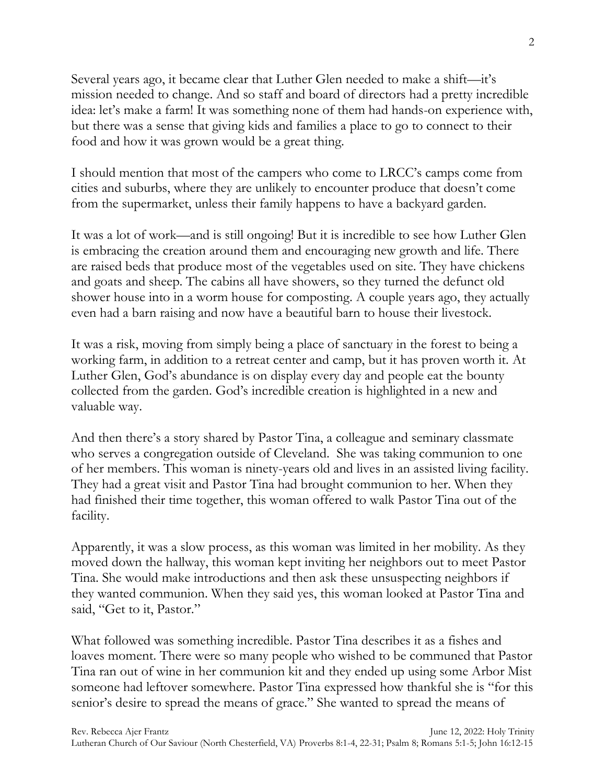Several years ago, it became clear that Luther Glen needed to make a shift—it's mission needed to change. And so staff and board of directors had a pretty incredible idea: let's make a farm! It was something none of them had hands-on experience with, but there was a sense that giving kids and families a place to go to connect to their food and how it was grown would be a great thing.

I should mention that most of the campers who come to LRCC's camps come from cities and suburbs, where they are unlikely to encounter produce that doesn't come from the supermarket, unless their family happens to have a backyard garden.

It was a lot of work—and is still ongoing! But it is incredible to see how Luther Glen is embracing the creation around them and encouraging new growth and life. There are raised beds that produce most of the vegetables used on site. They have chickens and goats and sheep. The cabins all have showers, so they turned the defunct old shower house into in a worm house for composting. A couple years ago, they actually even had a barn raising and now have a beautiful barn to house their livestock.

It was a risk, moving from simply being a place of sanctuary in the forest to being a working farm, in addition to a retreat center and camp, but it has proven worth it. At Luther Glen, God's abundance is on display every day and people eat the bounty collected from the garden. God's incredible creation is highlighted in a new and valuable way.

And then there's a story shared by Pastor Tina, a colleague and seminary classmate who serves a congregation outside of Cleveland. She was taking communion to one of her members. This woman is ninety-years old and lives in an assisted living facility. They had a great visit and Pastor Tina had brought communion to her. When they had finished their time together, this woman offered to walk Pastor Tina out of the facility.

Apparently, it was a slow process, as this woman was limited in her mobility. As they moved down the hallway, this woman kept inviting her neighbors out to meet Pastor Tina. She would make introductions and then ask these unsuspecting neighbors if they wanted communion. When they said yes, this woman looked at Pastor Tina and said, "Get to it, Pastor."

What followed was something incredible. Pastor Tina describes it as a fishes and loaves moment. There were so many people who wished to be communed that Pastor Tina ran out of wine in her communion kit and they ended up using some Arbor Mist someone had leftover somewhere. Pastor Tina expressed how thankful she is "for this senior's desire to spread the means of grace." She wanted to spread the means of